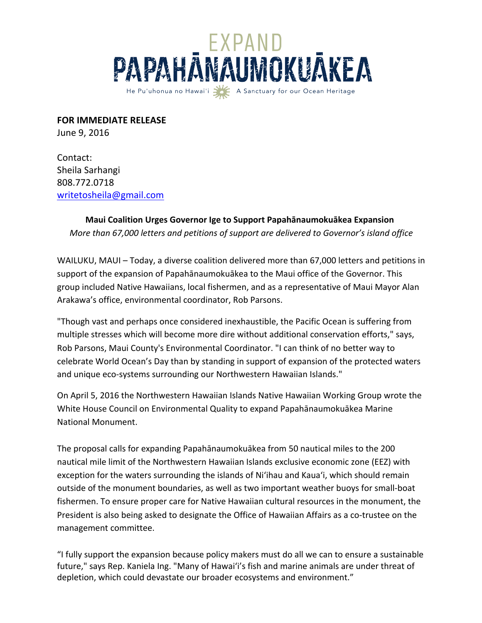

**FOR IMMEDIATE RELEASE** 

June 9, 2016

Contact: Sheila Sarhangi 808.772.0718 writetosheila@gmail.com

## **Maui Coalition Urges Governor Ige to Support Papahānaumokuākea Expansion** *More than 67,000 letters and petitions of support are delivered to Governor's island office*

WAILUKU, MAUI – Today, a diverse coalition delivered more than 67,000 letters and petitions in support of the expansion of Papahānaumokuākea to the Maui office of the Governor. This group included Native Hawaiians, local fishermen, and as a representative of Maui Mayor Alan Arakawa's office, environmental coordinator, Rob Parsons.

"Though vast and perhaps once considered inexhaustible, the Pacific Ocean is suffering from multiple stresses which will become more dire without additional conservation efforts," says, Rob Parsons, Maui County's Environmental Coordinator. "I can think of no better way to celebrate World Ocean's Day than by standing in support of expansion of the protected waters and unique eco-systems surrounding our Northwestern Hawaiian Islands."

On April 5, 2016 the Northwestern Hawaiian Islands Native Hawaiian Working Group wrote the White House Council on Environmental Quality to expand Papahānaumokuākea Marine National Monument. 

The proposal calls for expanding Papahānaumokuākea from 50 nautical miles to the 200 nautical mile limit of the Northwestern Hawaiian Islands exclusive economic zone (EEZ) with exception for the waters surrounding the islands of Ni'ihau and Kaua'i, which should remain outside of the monument boundaries, as well as two important weather buoys for small-boat fishermen. To ensure proper care for Native Hawaiian cultural resources in the monument, the President is also being asked to designate the Office of Hawaiian Affairs as a co-trustee on the management committee.

"I fully support the expansion because policy makers must do all we can to ensure a sustainable future," says Rep. Kaniela Ing. "Many of Hawai'i's fish and marine animals are under threat of depletion, which could devastate our broader ecosystems and environment."